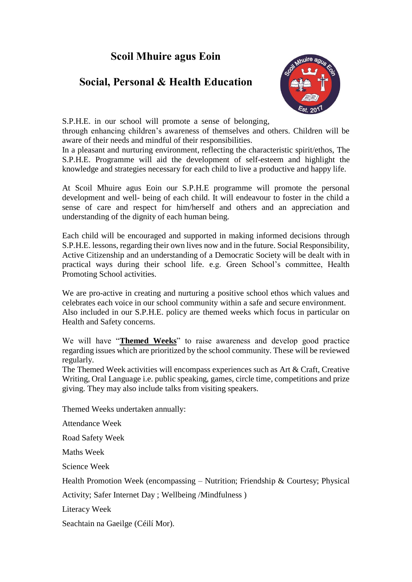# **Scoil Mhuire agus Eoin**

# **Social, Personal & Health Education**



S.P.H.E. in our school will promote a sense of belonging,

through enhancing children's awareness of themselves and others. Children will be aware of their needs and mindful of their responsibilities.

In a pleasant and nurturing environment, reflecting the characteristic spirit/ethos, The S.P.H.E. Programme will aid the development of self-esteem and highlight the knowledge and strategies necessary for each child to live a productive and happy life.

At Scoil Mhuire agus Eoin our S.P.H.E programme will promote the personal development and well- being of each child. It will endeavour to foster in the child a sense of care and respect for him/herself and others and an appreciation and understanding of the dignity of each human being.

Each child will be encouraged and supported in making informed decisions through S.P.H.E. lessons, regarding their own lives now and in the future. Social Responsibility, Active Citizenship and an understanding of a Democratic Society will be dealt with in practical ways during their school life. e.g. Green School's committee, Health Promoting School activities.

We are pro-active in creating and nurturing a positive school ethos which values and celebrates each voice in our school community within a safe and secure environment. Also included in our S.P.H.E. policy are themed weeks which focus in particular on Health and Safety concerns.

We will have "**Themed Weeks**" to raise awareness and develop good practice regarding issues which are prioritized by the school community. These will be reviewed regularly.

The Themed Week activities will encompass experiences such as Art & Craft, Creative Writing, Oral Language i.e. public speaking, games, circle time, competitions and prize giving. They may also include talks from visiting speakers.

Themed Weeks undertaken annually:

Attendance Week

Road Safety Week

Maths Week

Science Week

Health Promotion Week (encompassing – Nutrition; Friendship & Courtesy; Physical

Activity; Safer Internet Day ; Wellbeing /Mindfulness )

Literacy Week

Seachtain na Gaeilge (Céilí Mor).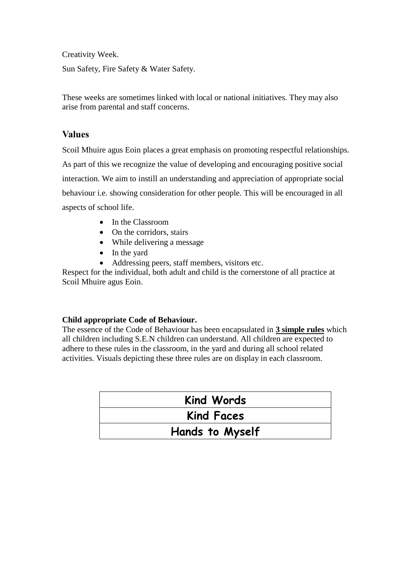Creativity Week.

Sun Safety, Fire Safety & Water Safety.

These weeks are sometimes linked with local or national initiatives. They may also arise from parental and staff concerns.

## **Values**

Scoil Mhuire agus Eoin places a great emphasis on promoting respectful relationships. As part of this we recognize the value of developing and encouraging positive social interaction. We aim to instill an understanding and appreciation of appropriate social behaviour i.e. showing consideration for other people. This will be encouraged in all aspects of school life.

- In the Classroom
- On the corridors, stairs
- While delivering a message
- In the yard
- Addressing peers, staff members, visitors etc.

Respect for the individual, both adult and child is the cornerstone of all practice at Scoil Mhuire agus Eoin.

#### **Child appropriate Code of Behaviour.**

The essence of the Code of Behaviour has been encapsulated in **3 simple rules** which all children including S.E.N children can understand. All children are expected to adhere to these rules in the classroom, in the yard and during all school related activities. Visuals depicting these three rules are on display in each classroom.

| <b>Kind Words</b> |  |
|-------------------|--|
| <b>Kind Faces</b> |  |
| Hands to Myself   |  |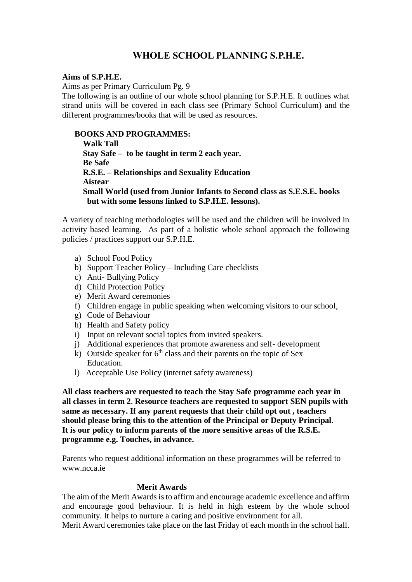# **WHOLE SCHOOL PLANNING S.P.H.E.**

#### **Aims of S.P.H.E.**

Aims as per Primary Curriculum Pg. 9

The following is an outline of our whole school planning for S.P.H.E. It outlines what strand units will be covered in each class see (Primary School Curriculum) and the different programmes/books that will be used as resources.

#### **BOOKS AND PROGRAMMES:**

 **Walk Tall Stay Safe – to be taught in term 2 each year. Be Safe R.S.E. – Relationships and Sexuality Education Aistear Small World (used from Junior Infants to Second class as S.E.S.E. books but with some lessons linked to S.P.H.E. lessons).**

A variety of teaching methodologies will be used and the children will be involved in activity based learning. As part of a holistic whole school approach the following policies / practices support our S.P.H.E.

- a) School Food Policy
- b) Support Teacher Policy Including Care checklists
- c) Anti- Bullying Policy
- d) Child Protection Policy
- e) Merit Award ceremonies
- f) Children engage in public speaking when welcoming visitors to our school,
- g) Code of Behaviour
- h) Health and Safety policy
- i) Input on relevant social topics from invited speakers.
- j) Additional experiences that promote awareness and self- development
- k) Outside speaker for  $6<sup>th</sup>$  class and their parents on the topic of Sex Education.
- l) Acceptable Use Policy (internet safety awareness)

**All class teachers are requested to teach the Stay Safe programme each year in all classes in term 2**. **Resource teachers are requested to support SEN pupils with same as necessary. If any parent requests that their child opt out , teachers should please bring this to the attention of the Principal or Deputy Principal. It is our policy to inform parents of the more sensitive areas of the R.S.E. programme e.g. Touches, in advance.**

Parents who request additional information on these programmes will be referred to www.ncca.ie

#### **Merit Awards**

The aim of the Merit Awards is to affirm and encourage academic excellence and affirm and encourage good behaviour. It is held in high esteem by the whole school community. It helps to nurture a caring and positive environment for all. Merit Award ceremonies take place on the last Friday of each month in the school hall.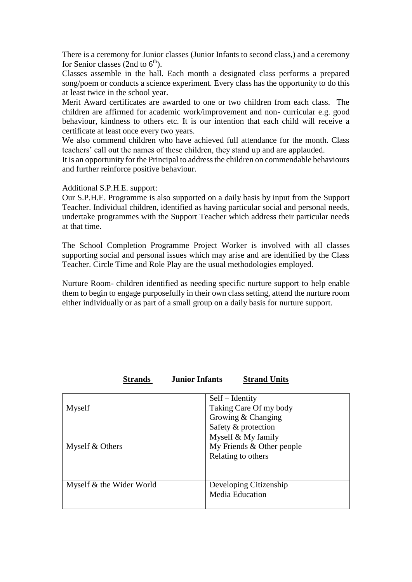There is a ceremony for Junior classes (Junior Infants to second class,) and a ceremony for Senior classes (2nd to  $6<sup>th</sup>$ ).

Classes assemble in the hall. Each month a designated class performs a prepared song/poem or conducts a science experiment. Every class has the opportunity to do this at least twice in the school year.

Merit Award certificates are awarded to one or two children from each class. The children are affirmed for academic work/improvement and non- curricular e.g. good behaviour, kindness to others etc. It is our intention that each child will receive a certificate at least once every two years.

We also commend children who have achieved full attendance for the month. Class teachers' call out the names of these children, they stand up and are applauded.

It is an opportunity for the Principal to address the children on commendable behaviours and further reinforce positive behaviour.

Additional S.P.H.E. support:

Our S.P.H.E. Programme is also supported on a daily basis by input from the Support Teacher. Individual children, identified as having particular social and personal needs, undertake programmes with the Support Teacher which address their particular needs at that time.

The School Completion Programme Project Worker is involved with all classes supporting social and personal issues which may arise and are identified by the Class Teacher. Circle Time and Role Play are the usual methodologies employed.

Nurture Room- children identified as needing specific nurture support to help enable them to begin to engage purposefully in their own class setting, attend the nurture room either individually or as part of a small group on a daily basis for nurture support.

| <b>Junior Infants</b><br><b>Strands</b> | <b>Strand Units</b>                       |  |
|-----------------------------------------|-------------------------------------------|--|
| Myself                                  | $Self-Identity$<br>Taking Care Of my body |  |
|                                         | Growing & Changing                        |  |
|                                         | Safety & protection                       |  |
|                                         | Myself & My family                        |  |
| Myself & Others                         | My Friends & Other people                 |  |
|                                         | Relating to others                        |  |
|                                         |                                           |  |
| Myself & the Wider World                | Developing Citizenship                    |  |
|                                         | <b>Media Education</b>                    |  |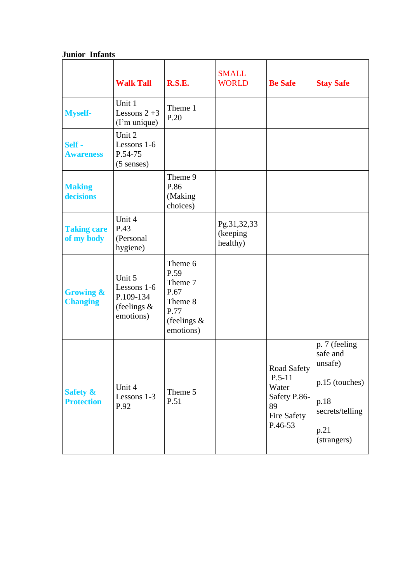## **Junior Infants**

|                                          | <b>Walk Tall</b>                                                  | R.S.E.                                                                               | <b>SMALL</b><br><b>WORLD</b>        | <b>Be Safe</b>                                                                   | <b>Stay Safe</b>                                                                                         |
|------------------------------------------|-------------------------------------------------------------------|--------------------------------------------------------------------------------------|-------------------------------------|----------------------------------------------------------------------------------|----------------------------------------------------------------------------------------------------------|
| <b>Myself-</b>                           | Unit 1<br>Lessons $2+3$<br>(I'm unique)                           | Theme 1<br>P.20                                                                      |                                     |                                                                                  |                                                                                                          |
| Self -<br><b>Awareness</b>               | Unit 2<br>Lessons 1-6<br>P.54-75<br>$(5$ senses)                  |                                                                                      |                                     |                                                                                  |                                                                                                          |
| <b>Making</b><br>decisions               |                                                                   | Theme 9<br>P.86<br>(Making<br>choices)                                               |                                     |                                                                                  |                                                                                                          |
| <b>Taking care</b><br>of my body         | Unit 4<br>P.43<br>(Personal<br>hygiene)                           |                                                                                      | Pg.31,32,33<br>(keeping<br>healthy) |                                                                                  |                                                                                                          |
| <b>Growing &amp;</b><br><b>Changing</b>  | Unit 5<br>Lessons 1-6<br>P.109-134<br>(feelings $\&$<br>emotions) | Theme 6<br>P.59<br>Theme 7<br>P.67<br>Theme 8<br>P.77<br>(feelings $\&$<br>emotions) |                                     |                                                                                  |                                                                                                          |
| <b>Safety &amp;</b><br><b>Protection</b> | Unit 4<br>Lessons 1-3<br>P.92                                     | Theme 5<br>P.51                                                                      |                                     | Road Safety<br>$P.5-11$<br>Water<br>Safety P.86-<br>89<br>Fire Safety<br>P.46-53 | p. 7 (feeling<br>safe and<br>unsafe)<br>p.15 (touches)<br>p.18<br>secrets/telling<br>p.21<br>(strangers) |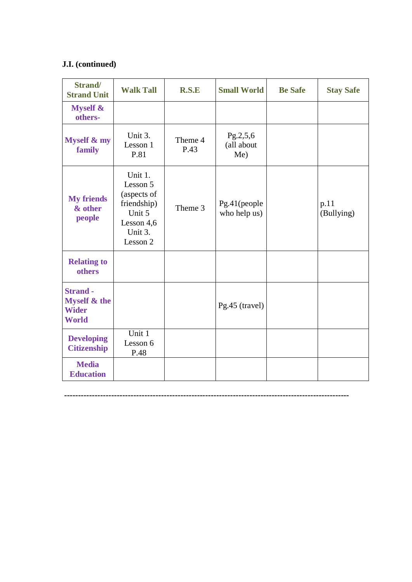## **J.I. (continued)**

| Strand/<br><b>Strand Unit</b>                                              | <b>Walk Tall</b>                                                                                   | R.S.E           | <b>Small World</b>            | <b>Be Safe</b> | <b>Stay Safe</b>   |
|----------------------------------------------------------------------------|----------------------------------------------------------------------------------------------------|-----------------|-------------------------------|----------------|--------------------|
| <b>Myself &amp;</b><br>others-                                             |                                                                                                    |                 |                               |                |                    |
| <b>Myself &amp; my</b><br>family                                           | Unit 3.<br>Lesson 1<br>P.81                                                                        | Theme 4<br>P.43 | Pg.2,5,6<br>(all about<br>Me) |                |                    |
| <b>My friends</b><br>& other<br>people                                     | Unit 1.<br>Lesson 5<br>(aspects of<br>friendship)<br>Unit 5<br>Lesson $4,6$<br>Unit 3.<br>Lesson 2 | Theme 3         | Pg.41(people<br>who help us)  |                | p.11<br>(Bullying) |
| <b>Relating to</b><br>others                                               |                                                                                                    |                 |                               |                |                    |
| <b>Strand -</b><br><b>Myself &amp; the</b><br><b>Wider</b><br><b>World</b> |                                                                                                    |                 | Pg.45 (travel)                |                |                    |
| <b>Developing</b><br><b>Citizenship</b>                                    | Unit 1<br>Lesson 6<br>P.48                                                                         |                 |                               |                |                    |
| <b>Media</b><br><b>Education</b>                                           |                                                                                                    |                 |                               |                |                    |

**-------------------------------------------------------------------------------------------------------**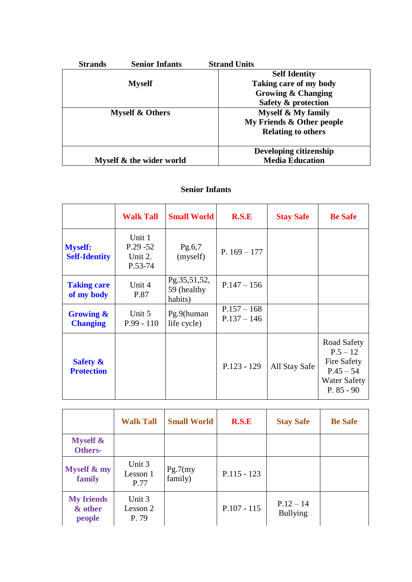| <b>Strands</b> | <b>Senior Infants</b>      | <b>Strand Units</b>           |
|----------------|----------------------------|-------------------------------|
|                |                            | <b>Self Identity</b>          |
|                | <b>Myself</b>              | Taking care of my body        |
|                |                            | <b>Growing &amp; Changing</b> |
|                |                            | Safety & protection           |
|                | <b>Myself &amp; Others</b> | <b>Myself &amp; My family</b> |
|                |                            | My Friends & Other people     |
|                |                            | <b>Relating to others</b>     |
|                |                            |                               |
|                |                            | Developing citizenship        |
|                | Myself & the wider world   | <b>Media Education</b>        |

## **Senior Infants**

|                                          | <b>Walk Tall</b>                            | <b>Small World</b>                     | R.S.E                          | <b>Stay Safe</b> | <b>Be Safe</b>                                                                                        |
|------------------------------------------|---------------------------------------------|----------------------------------------|--------------------------------|------------------|-------------------------------------------------------------------------------------------------------|
| <b>Myself:</b><br><b>Self-Identity</b>   | Unit 1<br>$P.29 - 52$<br>Unit 2.<br>P.53-74 | Pg.6,7<br>(myself)                     | P. $169 - 177$                 |                  |                                                                                                       |
| <b>Taking care</b><br>of my body         | Unit 4<br>P.87                              | Pg.35,51,52,<br>59 (healthy<br>habits) | $P.147 - 156$                  |                  |                                                                                                       |
| <b>Growing &amp;</b><br><b>Changing</b>  | Unit 5<br>$P.99 - 110$                      | Pg.9(human<br>life cycle)              | $P.157 - 168$<br>$P.137 - 146$ |                  |                                                                                                       |
| <b>Safety &amp;</b><br><b>Protection</b> |                                             |                                        | $P.123 - 129$                  | All Stay Safe    | Road Safety<br>$P.5 - 12$<br><b>Fire Safety</b><br>$P.45 - 54$<br><b>Water Safety</b><br>$P. 85 - 90$ |

|                                        | <b>Walk Tall</b>            | <b>Small World</b>  | R.S.E         | <b>Stay Safe</b>               | <b>Be Safe</b> |
|----------------------------------------|-----------------------------|---------------------|---------------|--------------------------------|----------------|
| <b>Myself &amp;</b><br><b>Others-</b>  |                             |                     |               |                                |                |
| Myself & my<br>family                  | Unit 3<br>Lesson 1<br>P.77  | Pg.7(my)<br>family) | $P.115 - 123$ |                                |                |
| <b>My friends</b><br>& other<br>people | Unit 3<br>Lesson 2<br>P. 79 |                     | $P.107 - 115$ | $P.12 - 14$<br><b>Bullying</b> |                |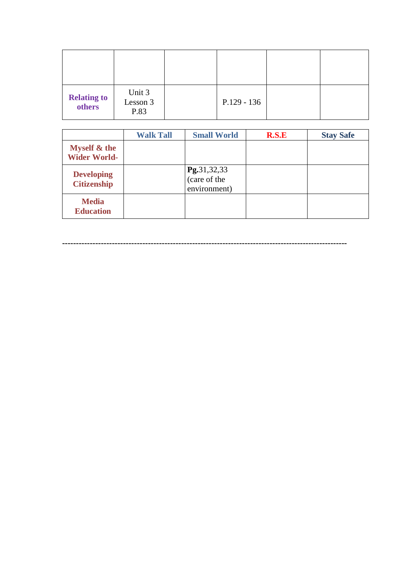| <b>Relating to</b><br>others | Unit 3<br>Lesson 3<br>P.83 | $P.129 - 136$ |  |
|------------------------------|----------------------------|---------------|--|

|                                                | <b>Walk Tall</b> | <b>Small World</b>                          | R.S.E | <b>Stay Safe</b> |
|------------------------------------------------|------------------|---------------------------------------------|-------|------------------|
| <b>Myself &amp; the</b><br><b>Wider World-</b> |                  |                                             |       |                  |
| <b>Developing</b><br><b>Citizenship</b>        |                  | Pg.31,32,33<br>(care of the<br>environment) |       |                  |
| <b>Media</b><br><b>Education</b>               |                  |                                             |       |                  |

**-------------------------------------------------------------------------------------------------------**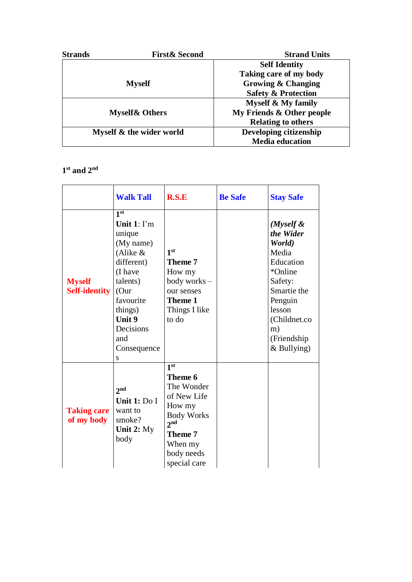| <b>Strands</b> | <b>First &amp; Second</b> | <b>Strand Units</b>            |
|----------------|---------------------------|--------------------------------|
|                |                           | <b>Self Identity</b>           |
|                |                           | Taking care of my body         |
|                | <b>Myself</b>             | <b>Growing &amp; Changing</b>  |
|                |                           | <b>Safety &amp; Protection</b> |
|                |                           | <b>Myself &amp; My family</b>  |
|                | <b>Myself&amp; Others</b> | My Friends & Other people      |
|                |                           | <b>Relating to others</b>      |
|                | Myself & the wider world  | Developing citizenship         |
|                |                           | <b>Media</b> education         |

## **1 st and 2nd**

|                                       | <b>Walk Tall</b>                                                                                                                                                                                | R.S.E                                                                                                                                                                | <b>Be Safe</b> | <b>Stay Safe</b>                                                                                                                                                        |
|---------------------------------------|-------------------------------------------------------------------------------------------------------------------------------------------------------------------------------------------------|----------------------------------------------------------------------------------------------------------------------------------------------------------------------|----------------|-------------------------------------------------------------------------------------------------------------------------------------------------------------------------|
| <b>Myself</b><br><b>Self-identity</b> | 1 <sup>st</sup><br>Unit $1: \Gamma$ m<br>unique<br>(My name)<br>(Alike &<br>different)<br>(I have<br>talents)<br>(Our<br>favourite<br>things)<br>Unit 9<br>Decisions<br>and<br>Consequence<br>S | 1 <sup>st</sup><br>Theme 7<br>How my<br>body works-<br>our senses<br>Theme 1<br>Things I like<br>to do                                                               |                | $(M$ yself &<br>the Wider<br>World)<br>Media<br>Education<br>*Online<br>Safety:<br>Smartie the<br>Penguin<br>lesson<br>(Childnet.co<br>m)<br>(Friendship<br>& Bullying) |
| <b>Taking care</b><br>of my body      | 2 <sub>nd</sub><br>Unit 1: Do I<br>want to<br>smoke?<br>Unit 2: My<br>body                                                                                                                      | 1 <sup>st</sup><br>Theme 6<br>The Wonder<br>of New Life<br>How my<br><b>Body Works</b><br>2 <sup>nd</sup><br><b>Theme 7</b><br>When my<br>body needs<br>special care |                |                                                                                                                                                                         |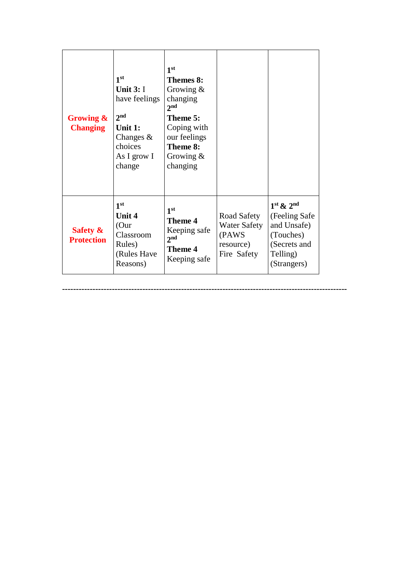| <b>Growing &amp;</b><br><b>Changing</b>  | 1 <sup>st</sup><br>Unit $3:1$<br>have feelings<br>2 <sub>nd</sub><br>Unit 1:<br>Changes $\&$<br>choices<br>As I grow I<br>change | 1 <sup>st</sup><br>Themes 8:<br>Growing $\&$<br>changing<br>2 <sup>nd</sup><br>Theme 5:<br>Coping with<br>our feelings<br>Theme 8:<br>Growing $\&$<br>changing |                                                                         |                                                                                                        |
|------------------------------------------|----------------------------------------------------------------------------------------------------------------------------------|----------------------------------------------------------------------------------------------------------------------------------------------------------------|-------------------------------------------------------------------------|--------------------------------------------------------------------------------------------------------|
| <b>Safety &amp;</b><br><b>Protection</b> | 1 <sup>st</sup><br>Unit 4<br>(Our<br>Classroom<br>Rules)<br>(Rules Have<br>Reasons)                                              | 1 <sup>st</sup><br><b>Theme 4</b><br>Keeping safe<br>2 <sup>nd</sup><br><b>Theme 4</b><br>Keeping safe                                                         | Road Safety<br><b>Water Safety</b><br>(PAWS<br>resource)<br>Fire Safety | $1st$ & $2nd$<br>(Feeling Safe)<br>and Unsafe)<br>(Touches)<br>(Secrets and<br>Telling)<br>(Strangers) |

**-------------------------------------------------------------------------------------------------------**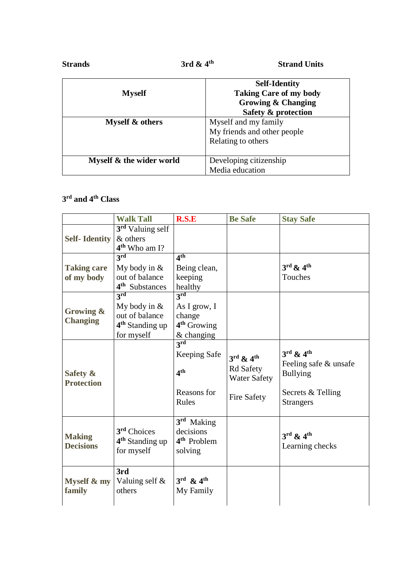| <b>Strands</b>           | 3rd $\&$ 4 <sup>th</sup> | <b>Strand Units</b>                                                                                           |
|--------------------------|--------------------------|---------------------------------------------------------------------------------------------------------------|
| <b>Myself</b>            |                          | <b>Self-Identity</b><br><b>Taking Care of my body</b><br><b>Growing &amp; Changing</b><br>Safety & protection |
| Myself & others          |                          | Myself and my family<br>My friends and other people<br>Relating to others                                     |
| Myself & the wider world |                          | Developing citizenship<br>Media education                                                                     |

## **3 rd and 4th Class**

|                      | <b>Walk Tall</b>                         | R.S.E                             | <b>Be Safe</b>                    | <b>Stay Safe</b>                  |
|----------------------|------------------------------------------|-----------------------------------|-----------------------------------|-----------------------------------|
| <b>Self-Identity</b> | 3 <sup>rd</sup> Valuing self<br>& others |                                   |                                   |                                   |
|                      | $4th$ Who am I?                          |                                   |                                   |                                   |
|                      | 3rd                                      | 4 <sup>th</sup>                   |                                   |                                   |
| <b>Taking care</b>   | My body in $&$                           | Being clean,                      |                                   | $3^{\text{rd}}$ & $4^{\text{th}}$ |
| of my body           | out of balance                           | keeping                           |                                   | Touches                           |
|                      | 4 <sup>th</sup> Substances               | healthy                           |                                   |                                   |
|                      | 3 <sup>rd</sup>                          | 3 <sup>rd</sup>                   |                                   |                                   |
|                      | My body in $&$                           | As I grow, I                      |                                   |                                   |
| Growing &            | out of balance                           | change                            |                                   |                                   |
| <b>Changing</b>      | 4 <sup>th</sup> Standing up              | $4th$ Growing                     |                                   |                                   |
|                      | for myself                               | $&$ changing                      |                                   |                                   |
|                      |                                          | 3rd                               |                                   |                                   |
|                      |                                          | Keeping Safe                      | $3^{\text{rd}}$ & $4^{\text{th}}$ | $3^{\text{rd}}$ & $4^{\text{th}}$ |
|                      |                                          |                                   | <b>Rd Safety</b>                  | Feeling safe & unsafe             |
| Safety &             |                                          | 4 <sup>th</sup>                   | <b>Water Safety</b>               | <b>Bullying</b>                   |
| <b>Protection</b>    |                                          |                                   |                                   |                                   |
|                      |                                          | Reasons for                       | Fire Safety                       | Secrets & Telling                 |
|                      |                                          | Rules                             |                                   | <b>Strangers</b>                  |
|                      |                                          | 3 <sup>rd</sup> Making            |                                   |                                   |
|                      | 3 <sup>rd</sup> Choices                  | decisions                         |                                   | $3^{\text{rd}}$ & $4^{\text{th}}$ |
| <b>Making</b>        | 4 <sup>th</sup> Standing up              | 4 <sup>th</sup> Problem           |                                   |                                   |
| <b>Decisions</b>     | for myself                               | solving                           |                                   | Learning checks                   |
|                      |                                          |                                   |                                   |                                   |
|                      | 3rd                                      |                                   |                                   |                                   |
| Myself & my          | Valuing self &                           | $3^{\text{rd}}$ & $4^{\text{th}}$ |                                   |                                   |
| family               | others                                   | My Family                         |                                   |                                   |
|                      |                                          |                                   |                                   |                                   |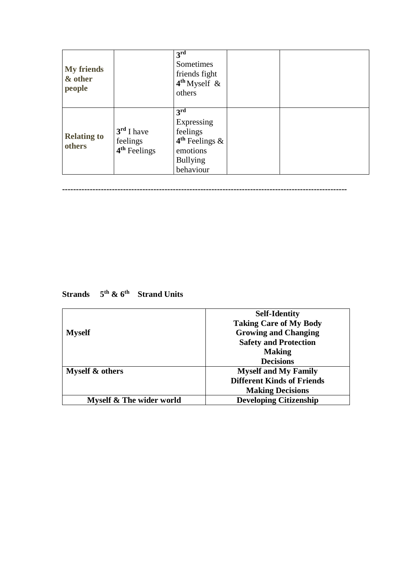| <b>My friends</b><br>& other<br>people |                                                      | $3^{\overline{\text{rd}}}$<br>Sometimes<br>friends fight<br>$4th$ Myself &<br>others                      |  |
|----------------------------------------|------------------------------------------------------|-----------------------------------------------------------------------------------------------------------|--|
| <b>Relating to</b><br>others           | $3rd$ I have<br>feelings<br>4 <sup>th</sup> Feelings | 3 <sup>rd</sup><br>Expressing<br>feelings<br>$4th$ Feelings &<br>emotions<br><b>Bullying</b><br>behaviour |  |

**-------------------------------------------------------------------------------------------------------**

**Strands 5th & 6th Strand Units**

|                          | <b>Self-Identity</b>              |
|--------------------------|-----------------------------------|
|                          | <b>Taking Care of My Body</b>     |
| <b>Myself</b>            | <b>Growing and Changing</b>       |
|                          | <b>Safety and Protection</b>      |
|                          | <b>Making</b>                     |
|                          | <b>Decisions</b>                  |
| Myself & others          | <b>Myself and My Family</b>       |
|                          | <b>Different Kinds of Friends</b> |
|                          | <b>Making Decisions</b>           |
| Myself & The wider world | <b>Developing Citizenship</b>     |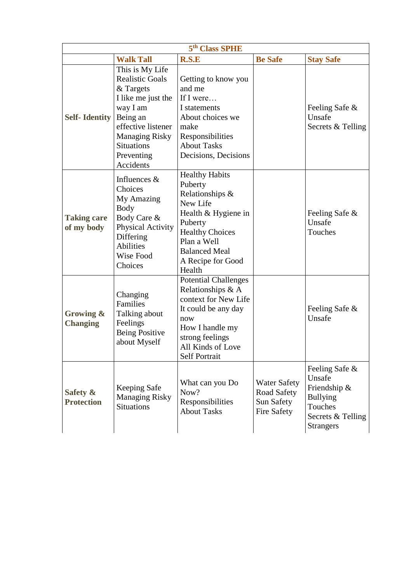| 5 <sup>th</sup> Class SPHE       |                                                                                                                                                                                                     |                                                                                                                                                                                                   |                                                                 |                                                                                                                 |
|----------------------------------|-----------------------------------------------------------------------------------------------------------------------------------------------------------------------------------------------------|---------------------------------------------------------------------------------------------------------------------------------------------------------------------------------------------------|-----------------------------------------------------------------|-----------------------------------------------------------------------------------------------------------------|
|                                  | <b>Walk Tall</b>                                                                                                                                                                                    | R.S.E                                                                                                                                                                                             | <b>Be Safe</b>                                                  | <b>Stay Safe</b>                                                                                                |
| <b>Self-Identity</b>             | This is My Life<br><b>Realistic Goals</b><br>& Targets<br>I like me just the<br>way I am<br>Being an<br>effective listener<br><b>Managing Risky</b><br><b>Situations</b><br>Preventing<br>Accidents | Getting to know you<br>and me<br>If I were<br>I statements<br>About choices we<br>make<br>Responsibilities<br><b>About Tasks</b><br>Decisions, Decisions                                          |                                                                 | Feeling Safe &<br>Unsafe<br>Secrets & Telling                                                                   |
| <b>Taking care</b><br>of my body | Influences $\&$<br>Choices<br>My Amazing<br><b>Body</b><br>Body Care &<br><b>Physical Activity</b><br>Differing<br><b>Abilities</b><br>Wise Food<br>Choices                                         | <b>Healthy Habits</b><br>Puberty<br>Relationships &<br>New Life<br>Health & Hygiene in<br>Puberty<br><b>Healthy Choices</b><br>Plan a Well<br><b>Balanced Meal</b><br>A Recipe for Good<br>Health |                                                                 | Feeling Safe &<br>Unsafe<br>Touches                                                                             |
| Growing &<br><b>Changing</b>     | Changing<br>Families<br>Talking about<br>Feelings<br><b>Being Positive</b><br>about Myself                                                                                                          | <b>Potential Challenges</b><br>Relationships & A<br>context for New Life<br>It could be any day<br>now<br>How I handle my<br>strong feelings<br>All Kinds of Love<br>Self Portrait                |                                                                 | Feeling Safe &<br>Unsafe                                                                                        |
| Safety &<br><b>Protection</b>    | Keeping Safe<br><b>Managing Risky</b><br><b>Situations</b>                                                                                                                                          | What can you Do<br>Now?<br>Responsibilities<br><b>About Tasks</b>                                                                                                                                 | <b>Water Safety</b><br>Road Safety<br>Sun Safety<br>Fire Safety | Feeling Safe &<br>Unsafe<br>Friendship &<br><b>Bullying</b><br>Touches<br>Secrets & Telling<br><b>Strangers</b> |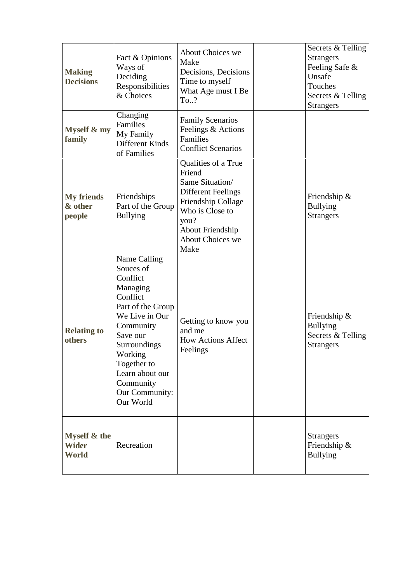| <b>Making</b><br><b>Decisions</b>      | Fact & Opinions<br>Ways of<br>Deciding<br>Responsibilities<br>& Choices                                                                                                                                                                | <b>About Choices we</b><br>Make<br>Decisions, Decisions<br>Time to myself<br>What Age must I Be<br>To?                                                                         | Secrets & Telling<br><b>Strangers</b><br>Feeling Safe &<br>Unsafe<br>Touches<br>Secrets & Telling<br><b>Strangers</b> |
|----------------------------------------|----------------------------------------------------------------------------------------------------------------------------------------------------------------------------------------------------------------------------------------|--------------------------------------------------------------------------------------------------------------------------------------------------------------------------------|-----------------------------------------------------------------------------------------------------------------------|
| <b>Myself &amp; my</b><br>family       | Changing<br>Families<br>My Family<br>Different Kinds<br>of Families                                                                                                                                                                    | <b>Family Scenarios</b><br>Feelings & Actions<br>Families<br><b>Conflict Scenarios</b>                                                                                         |                                                                                                                       |
| <b>My friends</b><br>& other<br>people | Friendships<br>Part of the Group<br><b>Bullying</b>                                                                                                                                                                                    | Qualities of a True<br>Friend<br>Same Situation/<br><b>Different Feelings</b><br>Friendship Collage<br>Who is Close to<br>you?<br>About Friendship<br>About Choices we<br>Make | Friendship $\&$<br><b>Bullying</b><br><b>Strangers</b>                                                                |
| <b>Relating to</b><br>others           | Name Calling<br>Souces of<br>Conflict<br>Managing<br>Conflict<br>Part of the Group<br>We Live in Our<br>Community<br>Save our<br>Surroundings<br>Working<br>Together to<br>Learn about our<br>Community<br>Our Community:<br>Our World | Getting to know you<br>and me<br><b>How Actions Affect</b><br>Feelings                                                                                                         | Friendship &<br><b>Bullying</b><br>Secrets & Telling<br><b>Strangers</b>                                              |
| Myself & the<br><b>Wider</b><br>World  | Recreation                                                                                                                                                                                                                             |                                                                                                                                                                                | <b>Strangers</b><br>Friendship &<br><b>Bullying</b>                                                                   |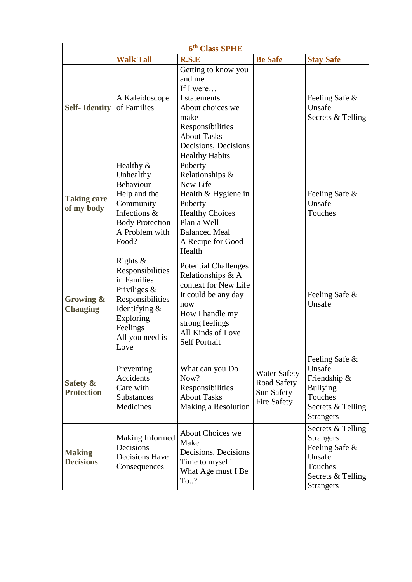| 6 <sup>th</sup> Class SPHE        |                                                                                                                                                           |                                                                                                                                                                                                   |                                                                        |                                                                                                                       |
|-----------------------------------|-----------------------------------------------------------------------------------------------------------------------------------------------------------|---------------------------------------------------------------------------------------------------------------------------------------------------------------------------------------------------|------------------------------------------------------------------------|-----------------------------------------------------------------------------------------------------------------------|
|                                   | <b>Walk Tall</b>                                                                                                                                          | <b>R.S.E</b>                                                                                                                                                                                      | <b>Be Safe</b>                                                         | <b>Stay Safe</b>                                                                                                      |
| <b>Self-Identity</b>              | A Kaleidoscope<br>of Families                                                                                                                             | Getting to know you<br>and me<br>If I were<br>I statements<br>About choices we<br>make<br>Responsibilities<br><b>About Tasks</b><br>Decisions, Decisions                                          |                                                                        | Feeling Safe &<br>Unsafe<br>Secrets & Telling                                                                         |
| <b>Taking care</b><br>of my body  | Healthy $&$<br>Unhealthy<br>Behaviour<br>Help and the<br>Community<br>Infections &<br><b>Body Protection</b><br>A Problem with<br>Food?                   | <b>Healthy Habits</b><br>Puberty<br>Relationships &<br>New Life<br>Health & Hygiene in<br>Puberty<br><b>Healthy Choices</b><br>Plan a Well<br><b>Balanced Meal</b><br>A Recipe for Good<br>Health |                                                                        | Feeling Safe &<br>Unsafe<br>Touches                                                                                   |
| Growing &<br><b>Changing</b>      | Rights $&$<br>Responsibilities<br>in Families<br>Priviliges $\&$<br>Responsibilities<br>Identifying &<br>Exploring<br>Feelings<br>All you need is<br>Love | <b>Potential Challenges</b><br>Relationships & A<br>context for New Life<br>It could be any day<br>now<br>How I handle my<br>strong feelings<br>All Kinds of Love<br><b>Self Portrait</b>         |                                                                        | Feeling Safe &<br>Unsafe                                                                                              |
| Safety &<br><b>Protection</b>     | Preventing<br>Accidents<br>Care with<br><b>Substances</b><br>Medicines                                                                                    | What can you Do<br>Now?<br>Responsibilities<br><b>About Tasks</b><br>Making a Resolution                                                                                                          | <b>Water Safety</b><br><b>Road Safety</b><br>Sun Safety<br>Fire Safety | Feeling Safe &<br>Unsafe<br>Friendship &<br><b>Bullying</b><br>Touches<br>Secrets & Telling<br><b>Strangers</b>       |
| <b>Making</b><br><b>Decisions</b> | <b>Making Informed</b><br>Decisions<br>Decisions Have<br>Consequences                                                                                     | About Choices we<br>Make<br>Decisions, Decisions<br>Time to myself<br>What Age must I Be<br>To?                                                                                                   |                                                                        | Secrets & Telling<br><b>Strangers</b><br>Feeling Safe &<br>Unsafe<br>Touches<br>Secrets & Telling<br><b>Strangers</b> |